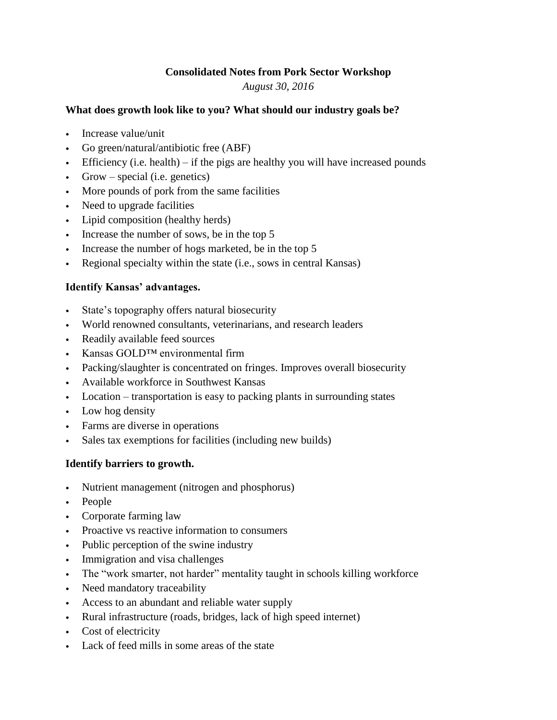# **Consolidated Notes from Pork Sector Workshop**

*August 30, 2016*

#### **What does growth look like to you? What should our industry goals be?**

- Increase value/unit
- Go green/natural/antibiotic free (ABF)
- Efficiency (i.e. health) if the pigs are healthy you will have increased pounds
- Grow special (i.e. genetics)
- More pounds of pork from the same facilities
- Need to upgrade facilities
- Lipid composition (healthy herds)
- Increase the number of sows, be in the top 5
- Increase the number of hogs marketed, be in the top 5
- Regional specialty within the state (i.e., sows in central Kansas)

## **Identify Kansas' advantages.**

- State's topography offers natural biosecurity
- World renowned consultants, veterinarians, and research leaders
- Readily available feed sources
- Kansas GOLD™ environmental firm
- Packing/slaughter is concentrated on fringes. Improves overall biosecurity
- Available workforce in Southwest Kansas
- Location transportation is easy to packing plants in surrounding states
- Low hog density
- Farms are diverse in operations
- Sales tax exemptions for facilities (including new builds)

## **Identify barriers to growth.**

- Nutrient management (nitrogen and phosphorus)
- People
- Corporate farming law
- Proactive vs reactive information to consumers
- Public perception of the swine industry
- Immigration and visa challenges
- The "work smarter, not harder" mentality taught in schools killing workforce
- Need mandatory traceability
- Access to an abundant and reliable water supply
- Rural infrastructure (roads, bridges, lack of high speed internet)
- Cost of electricity
- Lack of feed mills in some areas of the state